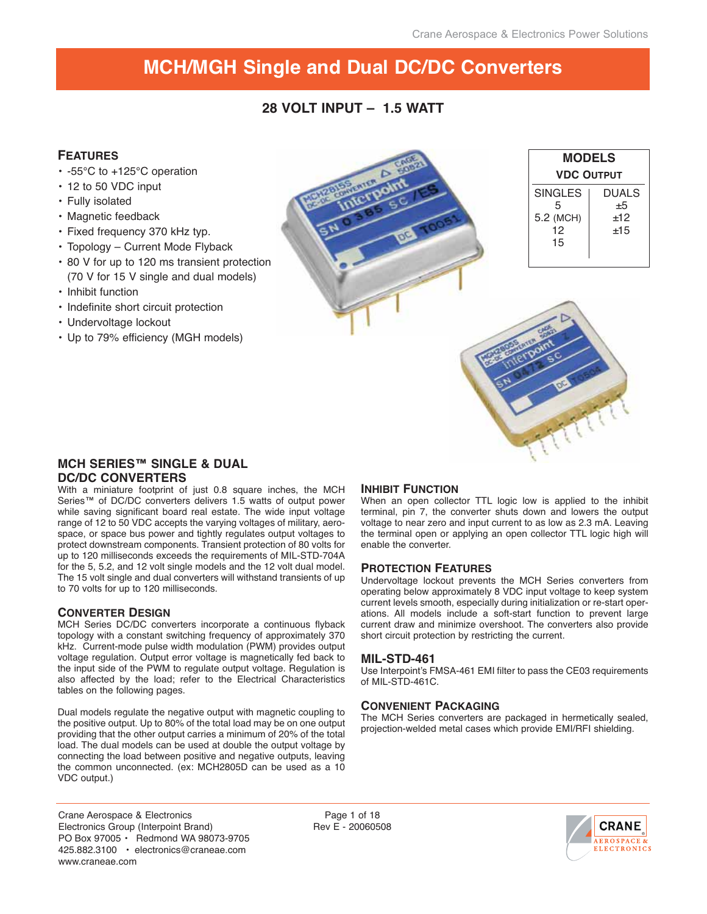# **28 VOLT INPUT – 1.5 WATT**

## **FEATURES**

- -55°C to +125°C operation
- 12 to 50 VDC input
- Fully isolated
- Magnetic feedback
- Fixed frequency 370 kHz typ.
- Topology Current Mode Flyback
- 80 V for up to 120 ms transient protection (70 V for 15 V single and dual models)
- Inhibit function
- Indefinite short circuit protection
- Undervoltage lockout
- Up to 79% efficiency (MGH models)

| <b>STERFER A</b>              | <b>MODELS</b><br><b>VDC OUTPUT</b>           |                                       |
|-------------------------------|----------------------------------------------|---------------------------------------|
| c٥<br>×<br>$-100$<br>EN<br>2c | <b>SINGLES</b><br>5<br>5.2 (MCH)<br>12<br>15 | <b>DUALS</b><br>$\pm 5$<br>±12<br>±15 |
|                               | Q.                                           |                                       |

## **MCH SERIES™ SINGLE & DUAL DC/DC CONVERTERS**

With a miniature footprint of just 0.8 square inches, the MCH Series™ of DC/DC converters delivers 1.5 watts of output power while saving significant board real estate. The wide input voltage range of 12 to 50 VDC accepts the varying voltages of military, aerospace, or space bus power and tightly regulates output voltages to protect downstream components. Transient protection of 80 volts for up to 120 milliseconds exceeds the requirements of MIL-STD-704A for the 5, 5.2, and 12 volt single models and the 12 volt dual model. The 15 volt single and dual converters will withstand transients of up to 70 volts for up to 120 milliseconds.

#### **CONVERTER DESIGN**

MCH Series DC/DC converters incorporate a continuous flyback topology with a constant switching frequency of approximately 370 kHz. Current-mode pulse width modulation (PWM) provides output voltage regulation. Output error voltage is magnetically fed back to the input side of the PWM to regulate output voltage. Regulation is also affected by the load; refer to the Electrical Characteristics tables on the following pages.

Dual models regulate the negative output with magnetic coupling to the positive output. Up to 80% of the total load may be on one output providing that the other output carries a minimum of 20% of the total load. The dual models can be used at double the output voltage by connecting the load between positive and negative outputs, leaving the common unconnected. (ex: MCH2805D can be used as a 10 VDC output.)

## **INHIBIT FUNCTION**

When an open collector TTL logic low is applied to the inhibit terminal, pin 7, the converter shuts down and lowers the output voltage to near zero and input current to as low as 2.3 mA. Leaving the terminal open or applying an open collector TTL logic high will enable the converter.

Canting Pill

#### **PROTECTION FEATURES**

Undervoltage lockout prevents the MCH Series converters from operating below approximately 8 VDC input voltage to keep system current levels smooth, especially during initialization or re-start operations. All models include a soft-start function to prevent large current draw and minimize overshoot. The converters also provide short circuit protection by restricting the current.

#### **MIL-STD-461**

Use Interpoint's FMSA-461 EMI filter to pass the CE03 requirements of MIL-STD-461C.

#### **CONVENIENT PACKAGING**

The MCH Series converters are packaged in hermetically sealed, projection-welded metal cases which provide EMI/RFI shielding.

Crane Aerospace & Electronics Electronics Group (Interpoint Brand) PO Box 97005 • Redmond WA 98073-9705 425.882.3100 • electronics@craneae.com www.craneae.com

Page 1 of 18 Rev E - 20060508

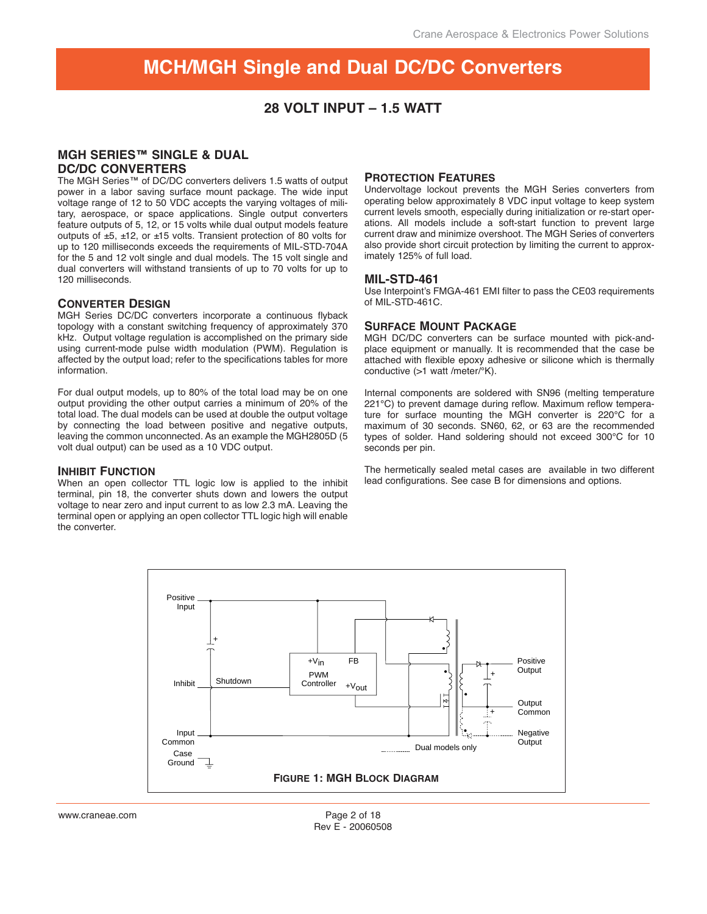## **28 VOLT INPUT – 1.5 WATT**

## **MGH SERIES™ SINGLE & DUAL DC/DC CONVERTERS**

The MGH Series™ of DC/DC converters delivers 1.5 watts of output power in a labor saving surface mount package. The wide input voltage range of 12 to 50 VDC accepts the varying voltages of military, aerospace, or space applications. Single output converters feature outputs of 5, 12, or 15 volts while dual output models feature outputs of ±5, ±12, or ±15 volts. Transient protection of 80 volts for up to 120 milliseconds exceeds the requirements of MIL-STD-704A for the 5 and 12 volt single and dual models. The 15 volt single and dual converters will withstand transients of up to 70 volts for up to 120 milliseconds.

#### **CONVERTER DESIGN**

MGH Series DC/DC converters incorporate a continuous flyback topology with a constant switching frequency of approximately 370 kHz. Output voltage regulation is accomplished on the primary side using current-mode pulse width modulation (PWM). Regulation is affected by the output load; refer to the specifications tables for more information.

For dual output models, up to 80% of the total load may be on one output providing the other output carries a minimum of 20% of the total load. The dual models can be used at double the output voltage by connecting the load between positive and negative outputs, leaving the common unconnected. As an example the MGH2805D (5 volt dual output) can be used as a 10 VDC output.

#### **INHIBIT FUNCTION**

When an open collector TTL logic low is applied to the inhibit terminal, pin 18, the converter shuts down and lowers the output voltage to near zero and input current to as low 2.3 mA. Leaving the terminal open or applying an open collector TTL logic high will enable the converter.

#### **PROTECTION FEATURES**

Undervoltage lockout prevents the MGH Series converters from operating below approximately 8 VDC input voltage to keep system current levels smooth, especially during initialization or re-start operations. All models include a soft-start function to prevent large current draw and minimize overshoot. The MGH Series of converters also provide short circuit protection by limiting the current to approximately 125% of full load.

#### **MIL-STD-461**

Use Interpoint's FMGA-461 EMI filter to pass the CE03 requirements of MIL-STD-461C.

#### **SURFACE MOUNT PACKAGE**

MGH DC/DC converters can be surface mounted with pick-andplace equipment or manually. It is recommended that the case be attached with flexible epoxy adhesive or silicone which is thermally conductive (>1 watt /meter/°K).

Internal components are soldered with SN96 (melting temperature 221°C) to prevent damage during reflow. Maximum reflow temperature for surface mounting the MGH converter is 220°C for a maximum of 30 seconds. SN60, 62, or 63 are the recommended types of solder. Hand soldering should not exceed 300°C for 10 seconds per pin.

The hermetically sealed metal cases are available in two different lead configurations. See case B for dimensions and options.

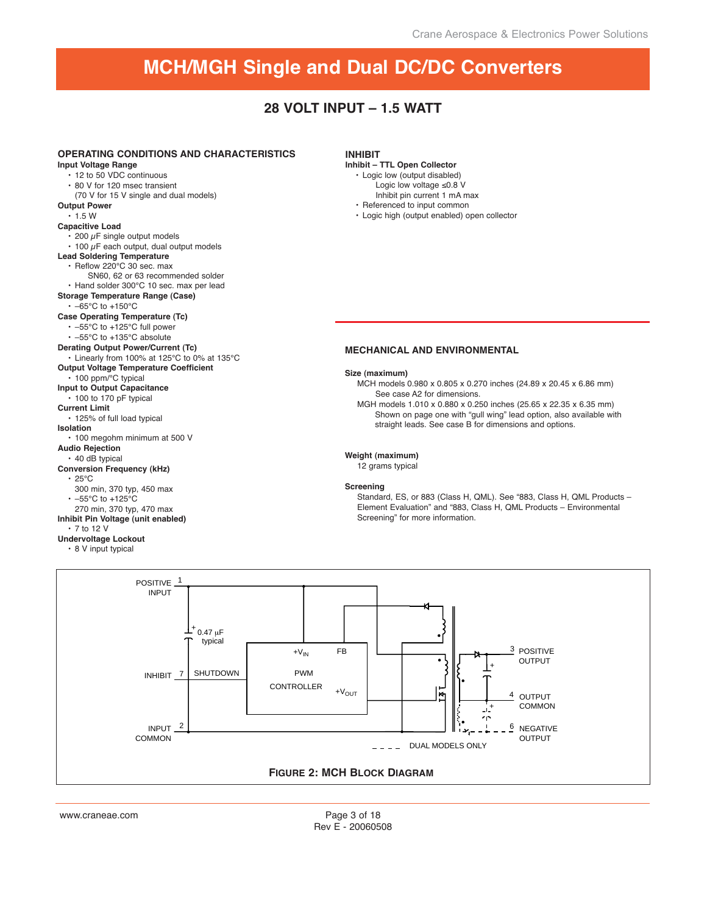## **28 VOLT INPUT – 1.5 WATT**





Page 3 of 18 Rev E - 20060508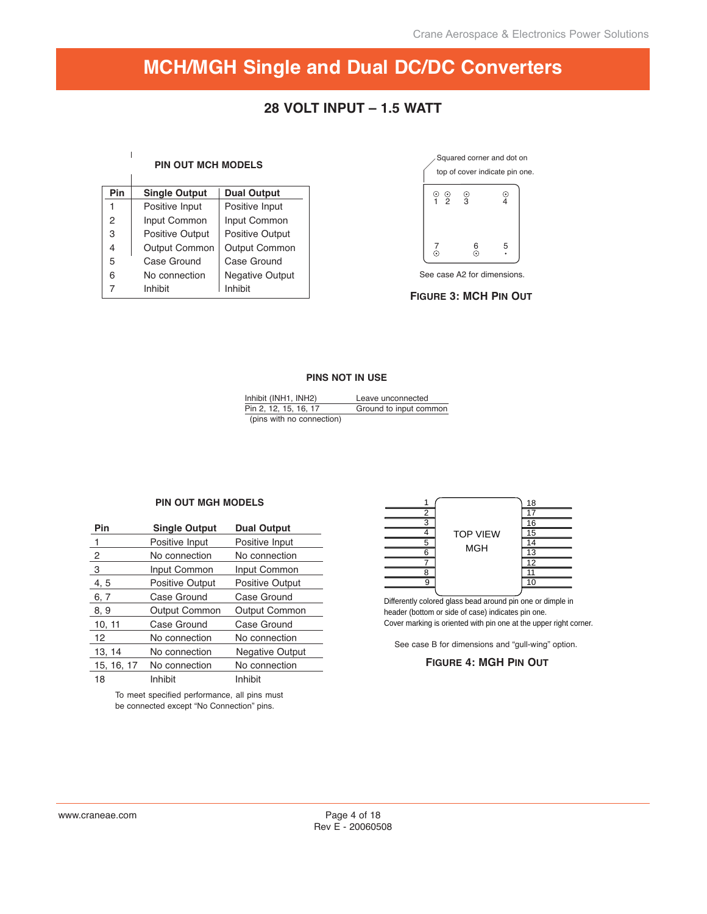## **28 VOLT INPUT – 1.5 WATT**

#### **PIN OUT MCH MODELS**

 $\begin{array}{c} \hline \end{array}$ <sup>1</sup>

| Pin | <b>Single Output</b>   | <b>Dual Output</b>     |
|-----|------------------------|------------------------|
| 1   | Positive Input         | Positive Input         |
| 2   | Input Common           | Input Common           |
| 3   | <b>Positive Output</b> | <b>Positive Output</b> |
| 4   | Output Common          | <b>Output Common</b>   |
| 5   | Case Ground            | Case Ground            |
| 6   | No connection          | <b>Negative Output</b> |
|     | Inhibit                | Inhibit                |



See case A2 for dimensions.

**FIGURE 3: MCH PIN OUT** 

#### **PINS NOT IN USE**

| Inhibit (INH1, INH2)      | Leave unconnected      |
|---------------------------|------------------------|
| Pin 2, 12, 15, 16, 17     | Ground to input common |
| (pins with no connection) |                        |

#### **PIN OUT MGH MODELS**

| Pin        | <b>Single Output</b>   | <b>Dual Output</b>     |
|------------|------------------------|------------------------|
| 1          | Positive Input         | Positive Input         |
| 2          | No connection          | No connection          |
| 3          | Input Common           | Input Common           |
| 4, 5       | <b>Positive Output</b> | <b>Positive Output</b> |
| 6, 7       | Case Ground            | Case Ground            |
| 8, 9       | <b>Output Common</b>   | <b>Output Common</b>   |
| 10, 11     | Case Ground            | Case Ground            |
| 12         | No connection          | No connection          |
| 13, 14     | No connection          | <b>Negative Output</b> |
| 15, 16, 17 | No connection          | No connection          |
| 18         | Inhibit                | Inhibit                |

To meet specified performance, all pins must be connected except "No Connection" pins.



Differently colored glass bead around pin one or dimple in header (bottom or side of case) indicates pin one. Cover marking is oriented with pin one at the upper right corner.

See case B for dimensions and "gull-wing" option.

#### **FIGURE 4: MGH PIN OUT**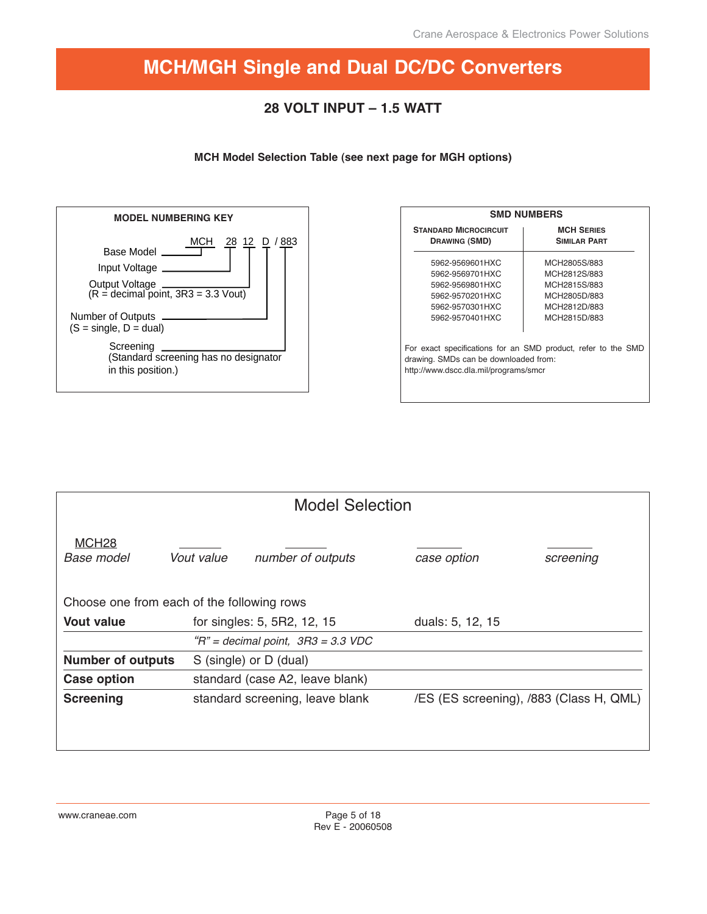# **28 VOLT INPUT – 1.5 WATT**

**MCH Model Selection Table (see next page for MGH options)**



|                                                                                | <b>SMD NUMBERS</b>                                            |
|--------------------------------------------------------------------------------|---------------------------------------------------------------|
| <b>STANDARD MICROCIRCUIT</b><br><b>DRAWING (SMD)</b>                           | <b>MCH SERIES</b><br><b>SIMILAR PART</b>                      |
| 5962-9569601HXC                                                                | MCH2805S/883                                                  |
| 5962-9569701HXC                                                                | MCH2812S/883                                                  |
| 5962-9569801HXC                                                                | MCH2815S/883                                                  |
| 5962-9570201HXC                                                                | MCH2805D/883                                                  |
| 5962-9570301HXC                                                                | MCH2812D/883                                                  |
| 5962-9570401HXC                                                                | MCH2815D/883                                                  |
| drawing. SMDs can be downloaded from:<br>http://www.dscc.dla.mil/programs/smcr | For exact specifications for an SMD product, refer to the SMD |

|                                            | <b>Model Selection</b> |                                        |                  |                                         |  |  |  |  |  |  |  |  |
|--------------------------------------------|------------------------|----------------------------------------|------------------|-----------------------------------------|--|--|--|--|--|--|--|--|
| MCH <sub>28</sub><br>Base model            | Vout value             | number of outputs                      | case option      | screening                               |  |  |  |  |  |  |  |  |
| Choose one from each of the following rows |                        |                                        |                  |                                         |  |  |  |  |  |  |  |  |
| <b>Vout value</b>                          |                        | for singles: 5, 5R2, 12, 15            | duals: 5, 12, 15 |                                         |  |  |  |  |  |  |  |  |
|                                            |                        | $H'' =$ decimal point, $3R3 = 3.3$ VDC |                  |                                         |  |  |  |  |  |  |  |  |
| <b>Number of outputs</b>                   |                        | S (single) or D (dual)                 |                  |                                         |  |  |  |  |  |  |  |  |
| <b>Case option</b>                         |                        | standard (case A2, leave blank)        |                  |                                         |  |  |  |  |  |  |  |  |
| <b>Screening</b>                           |                        | standard screening, leave blank        |                  | /ES (ES screening), /883 (Class H, QML) |  |  |  |  |  |  |  |  |
|                                            |                        |                                        |                  |                                         |  |  |  |  |  |  |  |  |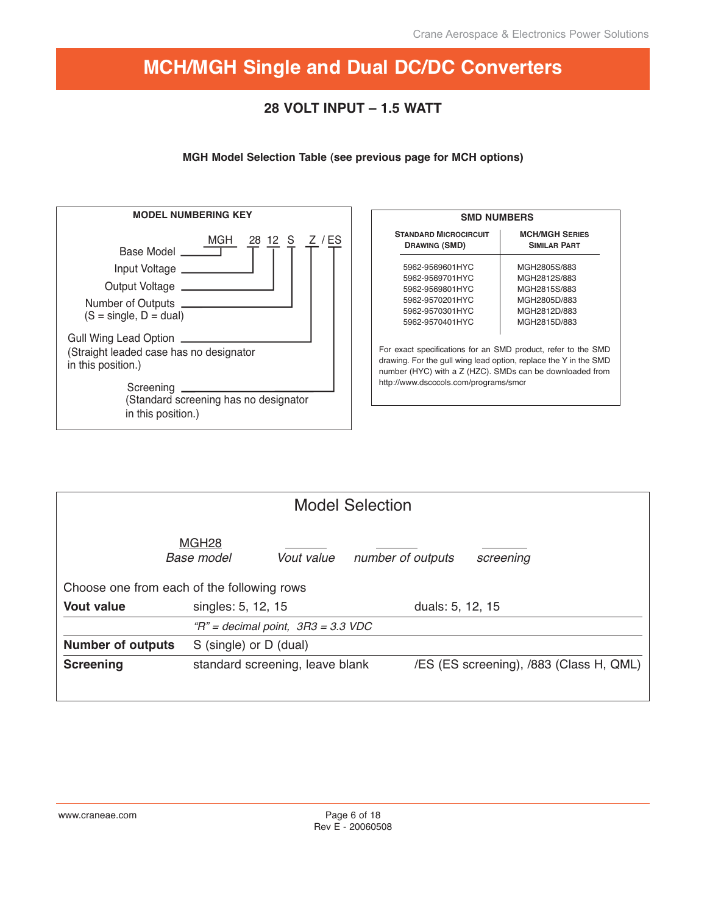# **28 VOLT INPUT – 1.5 WATT**

## **MGH Model Selection Table (see previous page for MCH options)**



| <b>SMD NUMBERS</b>                                                                                                                                                                                                                     |                                              |
|----------------------------------------------------------------------------------------------------------------------------------------------------------------------------------------------------------------------------------------|----------------------------------------------|
| <b>STANDARD MICROCIRCUIT</b><br><b>DRAWING (SMD)</b>                                                                                                                                                                                   | <b>MCH/MGH SERIES</b><br><b>SIMILAR PART</b> |
| 5962-9569601HYC                                                                                                                                                                                                                        | MGH2805S/883                                 |
| 5962-9569701HYC                                                                                                                                                                                                                        | MGH2812S/883                                 |
| 5962-9569801HYC                                                                                                                                                                                                                        | MGH2815S/883                                 |
| 5962-9570201HYC                                                                                                                                                                                                                        | MGH2805D/883                                 |
| 5962-9570301HYC                                                                                                                                                                                                                        | MGH2812D/883                                 |
| 5962-9570401HYC                                                                                                                                                                                                                        | MGH2815D/883                                 |
| For exact specifications for an SMD product, refer to the SMD<br>drawing. For the gull wing lead option, replace the Y in the SMD<br>number (HYC) with a Z (HZC). SMDs can be downloaded from<br>http://www.dscccols.com/programs/smcr |                                              |

| <b>Model Selection</b>                     |                                        |            |                   |                  |                                         |  |  |  |  |  |
|--------------------------------------------|----------------------------------------|------------|-------------------|------------------|-----------------------------------------|--|--|--|--|--|
|                                            | MGH <sub>28</sub><br><b>Base model</b> | Vout value | number of outputs |                  | screening                               |  |  |  |  |  |
| Choose one from each of the following rows |                                        |            |                   |                  |                                         |  |  |  |  |  |
| <b>Vout value</b>                          | singles: 5, 12, 15                     |            |                   | duals: 5, 12, 15 |                                         |  |  |  |  |  |
|                                            | $H'' =$ decimal point, $3R3 = 3.3$ VDC |            |                   |                  |                                         |  |  |  |  |  |
| <b>Number of outputs</b>                   | S (single) or D (dual)                 |            |                   |                  |                                         |  |  |  |  |  |
| <b>Screening</b>                           | standard screening, leave blank        |            |                   |                  | /ES (ES screening), /883 (Class H, QML) |  |  |  |  |  |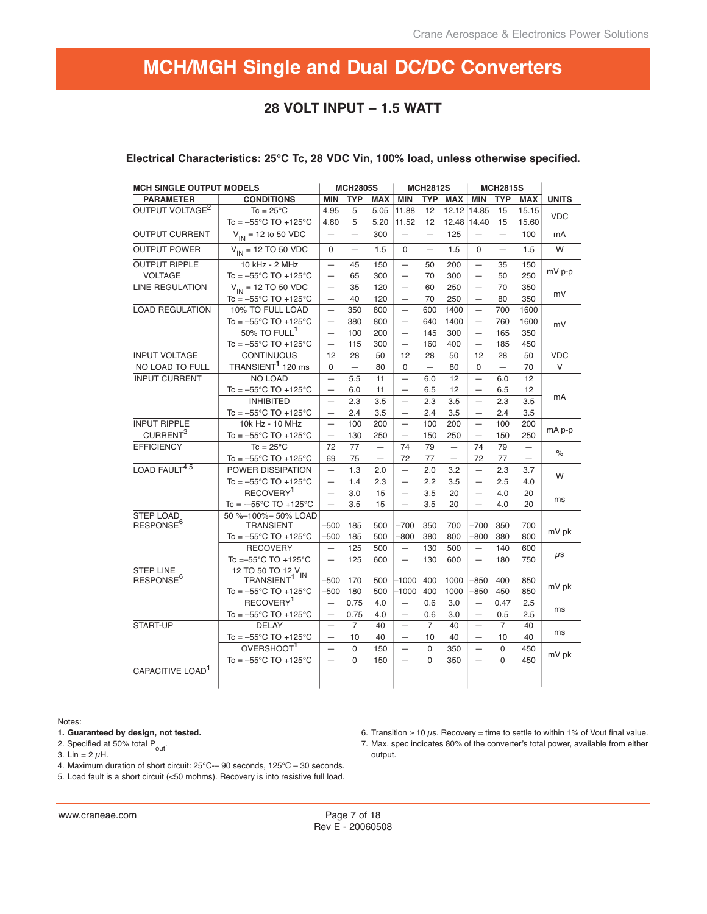## **28 VOLT INPUT – 1.5 WATT**

| <b>MCH SINGLE OUTPUT MODELS</b>           |                                                          |                          | <b>MCH2805S</b>          |                          |                          | <b>MCH2812S</b>          |                          |                          | <b>MCH2815S</b>          |                          |              |  |
|-------------------------------------------|----------------------------------------------------------|--------------------------|--------------------------|--------------------------|--------------------------|--------------------------|--------------------------|--------------------------|--------------------------|--------------------------|--------------|--|
| <b>PARAMETER</b>                          | <b>CONDITIONS</b>                                        | MIN                      | <b>TYP</b>               | <b>MAX</b>               | <b>MIN</b>               | <b>TYP</b>               | <b>MAX</b>               | <b>MIN</b>               | <b>TYP</b>               | <b>MAX</b>               | <b>UNITS</b> |  |
| OUTPUT VOLTAGE <sup>2</sup>               | $Tc = 25^{\circ}C$                                       | 4.95                     | 5                        | 5.05                     | 11.88                    | 12                       | 12.12                    | 14.85                    | 15                       | 15.15                    |              |  |
|                                           | $Tc = -55^{\circ}C$ TO +125 $^{\circ}C$                  | 4.80                     | 5                        | 5.20                     | 11.52                    | 12                       |                          | 12.48 14.40              | 15                       | 15.60                    | <b>VDC</b>   |  |
| <b>OUTPUT CURRENT</b>                     | $V_{\text{IN}}$ = 12 to 50 VDC                           | $\overline{\phantom{0}}$ | $\equiv$                 | 300                      | $\equiv$                 | $\equiv$                 | 125                      |                          | $\equiv$                 | 100                      | mA           |  |
| <b>OUTPUT POWER</b>                       | $V_{IN}$ = 12 TO 50 VDC                                  | 0                        | $\qquad \qquad -$        | 1.5                      | 0                        | $\overline{\phantom{0}}$ | 1.5                      | $\Omega$                 | $\overline{\phantom{0}}$ | 1.5                      | W            |  |
| <b>OUTPUT RIPPLE</b>                      | 10 kHz - 2 MHz                                           | $\overline{\phantom{0}}$ | 45                       | 150                      |                          | 50                       | 200                      | $\overline{\phantom{0}}$ | 35                       | 150                      |              |  |
| <b>VOLTAGE</b>                            | Tc = $-55^{\circ}$ C TO +125 $^{\circ}$ C                | $\overline{\phantom{0}}$ | 65                       | 300                      |                          | 70                       | 300                      | $\overline{\phantom{0}}$ | 50                       | 250                      | mV p-p       |  |
| <b>LINE REGULATION</b>                    | $V_{IN} = 12 \text{ TO } 50 \text{ VDC}$                 | $\qquad \qquad -$        | 35                       | 120                      | $\qquad \qquad -$        | 60                       | 250                      | $\qquad \qquad -$        | 70                       | 350                      |              |  |
|                                           | $Tc = -55^{\circ}C$ TO +125 $^{\circ}C$                  | $\overline{\phantom{0}}$ | 40                       | 120                      | $\overline{\phantom{0}}$ | 70                       | 250                      | $\qquad \qquad -$        | 80                       | 350                      | mV           |  |
| <b>LOAD REGULATION</b>                    | 10% TO FULL LOAD                                         | $\overline{\phantom{0}}$ | 350                      | 800                      | $\overline{\phantom{0}}$ | 600                      | 1400                     | $\equiv$                 | 700                      | 1600                     |              |  |
|                                           | $Tc = -55^{\circ}C$ TO +125 $^{\circ}C$                  |                          | 380                      | 800                      |                          | 640                      | 1400                     | $\overline{\phantom{m}}$ | 760                      | 1600                     | mV           |  |
|                                           | 50% TO FULL <sup>1</sup>                                 | $\overline{\phantom{0}}$ | 100                      | 200                      |                          | 145                      | 300                      | $\overline{\phantom{0}}$ | 165                      | 350                      |              |  |
|                                           | $Tc = -55^{\circ}C$ TO +125 $^{\circ}C$                  | $\overline{\phantom{0}}$ | 115                      | 300                      |                          | 160                      | 400                      | $\overline{\phantom{0}}$ | 185                      | 450                      |              |  |
| <b>INPUT VOLTAGE</b>                      | <b>CONTINUOUS</b>                                        | 12                       | 28                       | 50                       | 12                       | 28                       | 50                       | 12                       | 28                       | 50                       | <b>VDC</b>   |  |
| NO LOAD TO FULL                           | TRANSIENT <sup>1</sup> 120 ms                            | $\Omega$                 | $\overline{\phantom{0}}$ | 80                       | $\Omega$                 | $\overline{\phantom{m}}$ | 80                       | $\Omega$                 | $\overline{\phantom{m}}$ | 70                       | V            |  |
| <b>INPUT CURRENT</b>                      | <b>NO LOAD</b>                                           | $\equiv$                 | 5.5                      | 11                       | $\equiv$                 | 6.0                      | 12                       | $\equiv$                 | 6.0                      | 12                       |              |  |
|                                           | $Tc = -55^{\circ}C$ TO +125 $^{\circ}C$                  | $\qquad \qquad -$        | 6.0                      | 11                       |                          | 6.5                      | 12                       | $\overline{\phantom{0}}$ | 6.5                      | 12                       |              |  |
|                                           | <b>INHIBITED</b>                                         |                          | 2.3                      | 3.5                      |                          | 2.3                      | 3.5                      | $\overline{\phantom{0}}$ | 2.3                      | 3.5                      | mA           |  |
|                                           | $Tc = -55^{\circ}C$ TO +125 $^{\circ}C$                  | $\overline{\phantom{0}}$ | 2.4                      | 3.5                      |                          | 2.4                      | 3.5                      | $\overline{\phantom{0}}$ | 2.4                      | 3.5                      |              |  |
| <b>INPUT RIPPLE</b>                       | 10k Hz - 10 MHz                                          | $\qquad \qquad -$        | 100                      | 200                      | $\overline{\phantom{0}}$ | 100                      | 200                      | $\equiv$                 | 100                      | 200                      |              |  |
| CURRENT <sup>3</sup>                      | $Tc = -55^{\circ}C$ TO +125 $^{\circ}C$                  | $\overline{\phantom{0}}$ | 130                      | 250                      | $\qquad \qquad -$        | 150                      | 250                      | $\qquad \qquad -$        | 150                      | 250                      | mA p-p       |  |
| <b>EFFICIENCY</b>                         | $Tc = 25^{\circ}C$                                       | 72                       | 77                       | $\overline{\phantom{0}}$ | 74                       | 79                       | $\overline{\phantom{0}}$ | 74                       | 79                       | $\overline{\phantom{0}}$ |              |  |
|                                           | $Tc = -55^{\circ}C$ TO +125 $^{\circ}C$                  | 69                       | 75                       | $\overline{\phantom{0}}$ | 72                       | 77                       | $\overline{\phantom{0}}$ | 72                       | 77                       | $\overline{\phantom{0}}$ | $\%$         |  |
| LOAD FAULT4,5                             | POWER DISSIPATION                                        | $\equiv$                 | 1.3                      | 2.0                      | $\overline{\phantom{0}}$ | 2.0                      | 3.2                      | $\equiv$                 | 2.3                      | 3.7                      |              |  |
|                                           | $Tc = -55^{\circ}C$ TO +125 $^{\circ}C$                  | $\qquad \qquad -$        | 1.4                      | 2.3                      | $\overline{\phantom{0}}$ | 2.2                      | 3.5                      | $\overline{\phantom{0}}$ | 2.5                      | 4.0                      | W            |  |
|                                           | RECOVERY <sup>1</sup>                                    | $\qquad \qquad -$        | 3.0                      | 15                       | $\overline{\phantom{0}}$ | 3.5                      | 20                       |                          | 4.0                      | 20                       |              |  |
|                                           | Tc = $-55^{\circ}$ C TO +125 $^{\circ}$ C                | $\overline{\phantom{0}}$ | 3.5                      | 15                       | $\overline{\phantom{0}}$ | 3.5                      | 20                       | $\overline{\phantom{0}}$ | 4.0                      | 20                       | ms           |  |
| <b>STEP LOAD</b>                          | 50 %-100%- 50% LOAD                                      |                          |                          |                          |                          |                          |                          |                          |                          |                          |              |  |
| RESPONSE <sup>6</sup>                     | <b>TRANSIENT</b>                                         | -500                     | 185                      | 500                      | $-700$                   | 350                      | 700                      | $-700$                   | 350                      | 700                      | mV pk        |  |
|                                           | Tc = $-55^{\circ}$ C TO +125 $^{\circ}$ C                | $-500$                   | 185                      | 500                      | $-800$                   | 380                      | 800                      | $-800$                   | 380                      | 800                      |              |  |
|                                           | <b>RECOVERY</b>                                          | $\overline{\phantom{0}}$ | 125                      | 500                      | $\overline{\phantom{0}}$ | 130                      | 500                      | $\overline{\phantom{0}}$ | 140                      | 600                      | $\mu$ s      |  |
|                                           | Tc = - 55°C TO + 125°C                                   | $\overline{\phantom{0}}$ | 125                      | 600                      | $\qquad \qquad -$        | 130                      | 600                      | $\qquad \qquad -$        | 180                      | 750                      |              |  |
| <b>STEP LINE</b><br>RESPONSE <sup>6</sup> | 12 TO 50 TO 12 V <sub>IN</sub><br>TRANSIENT <sup>1</sup> | -500                     | 170                      | 500                      | $-1000$                  | 400                      | 1000                     | $-850$                   | 400                      | 850                      |              |  |
|                                           | $Tc = -55^{\circ}C$ TO +125 $^{\circ}C$                  | -500                     | 180                      | 500                      | $-1000$                  | 400                      | 1000                     | $-850$                   | 450                      | 850                      | mV pk        |  |
|                                           | RECOVERY <sup>1</sup>                                    | $\equiv$                 | 0.75                     | 4.0                      |                          | 0.6                      | 3.0                      | $\qquad \qquad -$        | 0.47                     | 2.5                      |              |  |
|                                           | $Tc = -55^{\circ}C$ TO +125 $^{\circ}C$                  | $\equiv$                 | 0.75                     | 4.0                      |                          | 0.6                      | 3.0                      |                          | 0.5                      | 2.5                      | ms           |  |
| START-UP                                  | <b>DELAY</b>                                             | $\overline{\phantom{0}}$ | $\overline{7}$           | 40                       | $\overline{\phantom{0}}$ | $\overline{7}$           | 40                       | $\qquad \qquad -$        | $\overline{7}$           | 40                       |              |  |
|                                           | $Tc = -55^{\circ}C$ TO +125 $^{\circ}C$                  | $\overline{\phantom{0}}$ | 10                       | 40                       | $\overline{\phantom{0}}$ | 10                       | 40                       |                          | 10                       | 40                       | ms           |  |
|                                           | OVERSHOOT <sup>1</sup>                                   |                          | $\Omega$                 | 150                      | $\overline{\phantom{0}}$ | $\Omega$                 | 350                      | $\overline{\phantom{0}}$ | $\Omega$                 | 450                      |              |  |
|                                           | $Tc = -55^{\circ}C$ TO +125 $^{\circ}C$                  | $\qquad \qquad -$        | 0                        | 150                      | $\qquad \qquad -$        | 0                        | 350                      | $\overline{\phantom{m}}$ | $\mathbf 0$              | 450                      | mV pk        |  |
| CAPACITIVE LOAD <sup>1</sup>              |                                                          |                          |                          |                          |                          |                          |                          |                          |                          |                          |              |  |

#### **Electrical Characteristics: 25°C Tc, 28 VDC Vin, 100% load, unless otherwise specified.**

Notes:

**1. Guaranteed by design, not tested.**

2. Specified at 50% total  $P_{\text{out}}$ .

3. Lin =  $2 \mu$ H.

4. Maximum duration of short circuit: 25°C-– 90 seconds, 125°C – 30 seconds.

5. Load fault is a short circuit (<50 mohms). Recovery is into resistive full load.

www.craneae.com

Page 7 of 18 Rev E - 20060508

6. Transition ≥ 10  $\mu$ s. Recovery = time to settle to within 1% of Vout final value. 7. Max. spec indicates 80% of the converter's total power, available from either output.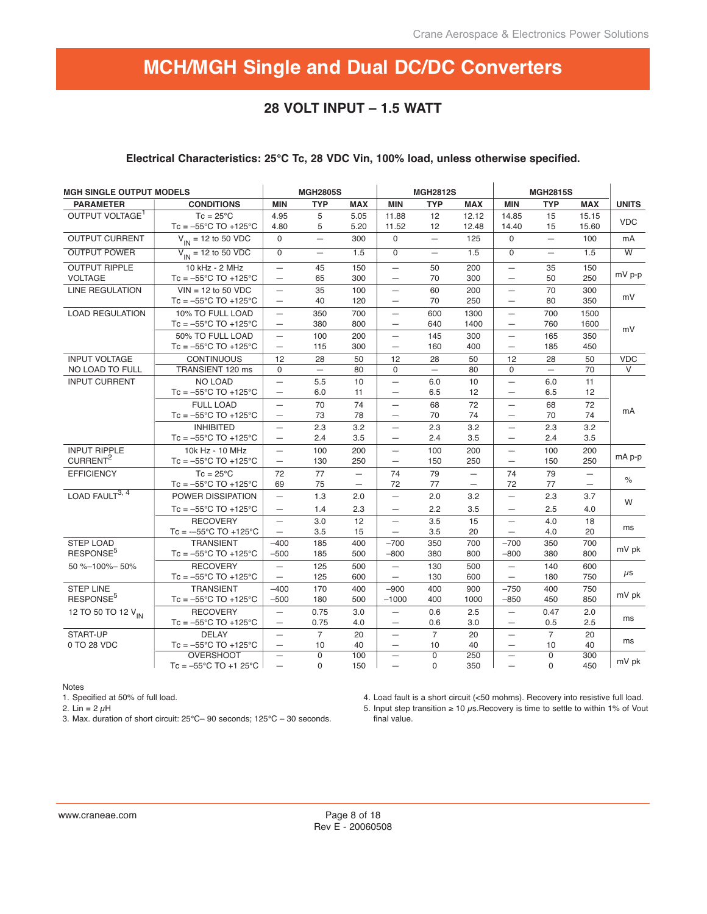## **28 VOLT INPUT – 1.5 WATT**

### **Electrical Characteristics: 25°C Tc, 28 VDC Vin, 100% load, unless otherwise specified.**

| <b>MGH SINGLE OUTPUT MODELS</b>             |                                                                 |                                                      | <b>MGH2805S</b>         |                                                      | <b>MGH2812S</b><br><b>MGH2815S</b>                   |                            |                                                      |                                                      |                          |                                      |                         |
|---------------------------------------------|-----------------------------------------------------------------|------------------------------------------------------|-------------------------|------------------------------------------------------|------------------------------------------------------|----------------------------|------------------------------------------------------|------------------------------------------------------|--------------------------|--------------------------------------|-------------------------|
| <b>PARAMETER</b>                            | <b>CONDITIONS</b>                                               | <b>MIN</b>                                           | <b>TYP</b>              | <b>MAX</b>                                           | <b>MIN</b>                                           | <b>TYP</b>                 | <b>MAX</b>                                           | <b>MIN</b>                                           | <b>TYP</b>               | <b>MAX</b>                           | <b>UNITS</b>            |
| OUTPUT VOLTAGE <sup>1</sup>                 | $Tc = 25^{\circ}C$<br>$Tc = -55^{\circ}C$ TO +125 $^{\circ}C$   | 4.95<br>4.80                                         | 5<br>5                  | 5.05<br>5.20                                         | 11.88<br>11.52                                       | 12<br>12                   | 12.12<br>12.48                                       | 14.85<br>14.40                                       | 15<br>15                 | 15.15<br>15.60                       | <b>VDC</b>              |
| <b>OUTPUT CURRENT</b>                       | $V_{IN}$ = 12 to 50 VDC                                         | $\Omega$                                             | $\equiv$                | 300                                                  | $\mathbf 0$                                          | $\overline{\phantom{0}}$   | 125                                                  | $\mathbf 0$                                          |                          | 100                                  | mA                      |
| <b>OUTPUT POWER</b>                         | $V_{\text{IN}}$ = 12 to 50 VDC                                  | $\overline{0}$                                       | $\equiv$                | 1.5                                                  | $\overline{0}$                                       | $\equiv$                   | 1.5                                                  | $\overline{0}$                                       | $\overline{\phantom{0}}$ | 1.5                                  | $\overline{\mathsf{w}}$ |
| <b>OUTPUT RIPPLE</b><br><b>VOLTAGE</b>      | 10 kHz - 2 MHz<br>$Tc = -55^{\circ}C$ TO +125 $^{\circ}C$       | $\overline{\phantom{0}}$<br>$\overline{\phantom{0}}$ | 45<br>65                | 150<br>300                                           | $\qquad \qquad -$<br>$\overline{\phantom{0}}$        | 50<br>70                   | 200<br>300                                           | $\overline{\phantom{0}}$                             | 35<br>50                 | 150<br>250                           | $mV$ p-p                |
| <b>LINE REGULATION</b>                      | $VIN = 12$ to 50 VDC<br>$Tc = -55^{\circ}C$ TO +125 $^{\circ}C$ | $\overline{\phantom{0}}$<br>$\overline{\phantom{0}}$ | 35<br>40                | 100<br>120                                           | $\qquad \qquad -$<br>$\overline{\phantom{0}}$        | 60<br>70                   | 200<br>250                                           | $\overline{\phantom{0}}$                             | 70<br>80                 | 300<br>350                           | mV                      |
| <b>LOAD REGULATION</b>                      | 10% TO FULL LOAD<br>$Tc = -55^{\circ}C$ TO +125 $^{\circ}C$     | $\qquad \qquad -$<br>$\overline{\phantom{0}}$        | 350<br>380              | 700<br>800                                           | $\overline{\phantom{0}}$<br>$\overline{\phantom{0}}$ | 600<br>640                 | 1300<br>1400                                         | $\overline{\phantom{0}}$<br>$\overline{\phantom{0}}$ | 700<br>760               | 1500<br>1600                         | mV                      |
|                                             | 50% TO FULL LOAD<br>$Tc = -55^{\circ}C$ TO +125 $^{\circ}C$     | $\qquad \qquad -$<br>$\overline{\phantom{0}}$        | 100<br>115              | 200<br>300                                           | $\overline{\phantom{0}}$<br>$\overline{\phantom{0}}$ | 145<br>160                 | 300<br>400                                           | $\overline{\phantom{0}}$<br>$\overline{\phantom{0}}$ | 165<br>185               | 350<br>450                           |                         |
| <b>INPUT VOLTAGE</b>                        | <b>CONTINUOUS</b>                                               | 12                                                   | 28                      | 50                                                   | 12                                                   | 28                         | 50                                                   | 12                                                   | 28                       | 50                                   | <b>VDC</b>              |
| NO LOAD TO FULL                             | TRANSIENT 120 ms                                                | $\Omega$                                             | $\equiv$                | 80                                                   | $\Omega$                                             | $\equiv$                   | 80                                                   | $\Omega$                                             | $-$                      | 70                                   | V                       |
| <b>INPUT CURRENT</b>                        | <b>NO LOAD</b><br>$Tc = -55^{\circ}C$ TO +125 $^{\circ}C$       | $\qquad \qquad -$<br>$\overline{\phantom{0}}$        | 5.5<br>6.0              | 10<br>11                                             | $\qquad \qquad -$<br>$\qquad \qquad -$               | 6.0<br>6.5                 | 10<br>12                                             | $\overline{\phantom{0}}$<br>$\overline{\phantom{0}}$ | 6.0<br>6.5               | 11<br>12                             |                         |
|                                             | <b>FULL LOAD</b><br>Tc = $-55^{\circ}$ C TO +125 $^{\circ}$ C   | $\qquad \qquad -$<br>$\overline{\phantom{0}}$        | 70<br>73                | 74<br>78                                             | $\qquad \qquad -$<br>$\qquad \qquad -$               | 68<br>70                   | 72<br>74                                             | $\overline{\phantom{0}}$<br>$\overline{\phantom{0}}$ | 68<br>70                 | 72<br>74                             | mA                      |
|                                             | <b>INHIBITED</b><br>$Tc = -55^{\circ}C$ TO +125 $^{\circ}C$     | $\qquad \qquad -$                                    | 2.3<br>2.4              | 3.2<br>3.5                                           | $\qquad \qquad -$                                    | 2.3<br>2.4                 | 3.2<br>3.5                                           | $\overline{\phantom{0}}$<br>$\overline{\phantom{0}}$ | 2.3<br>2.4               | 3.2<br>3.5                           |                         |
| <b>INPUT RIPPLE</b><br>CURRENT <sup>2</sup> | 10k Hz - 10 MHz<br>$Tc = -55^{\circ}C$ TO +125 $^{\circ}C$      | $\qquad \qquad -$<br>$\overline{\phantom{0}}$        | 100<br>130              | 200<br>250                                           | $\overline{\phantom{0}}$<br>$\overline{\phantom{0}}$ | 100<br>150                 | 200<br>250                                           | $\overline{\phantom{0}}$<br>$\qquad \qquad -$        | 100<br>150               | 200<br>250                           | mA p-p                  |
| <b>EFFICIENCY</b>                           | $Tc = 25^{\circ}C$<br>$Tc = -55^{\circ}C$ TO +125 $^{\circ}C$   | 72<br>69                                             | 77<br>75                | $\overline{\phantom{0}}$<br>$\overline{\phantom{0}}$ | 74<br>72                                             | 79<br>77                   | $\overline{\phantom{m}}$<br>$\overline{\phantom{m}}$ | 74<br>72                                             | 79<br>77                 | $\overline{\phantom{m}}$<br>$\equiv$ | $\%$                    |
| LOAD FAULT <sup>3, 4</sup>                  | POWER DISSIPATION<br>$Tc = -55^{\circ}C$ TO +125 $^{\circ}C$    | $\qquad \qquad -$<br>$\overline{\phantom{0}}$        | 1.3<br>1.4              | 2.0<br>2.3                                           | $\qquad \qquad -$<br>$\qquad \qquad -$               | 2.0<br>2.2                 | 3.2<br>3.5                                           | $\qquad \qquad -$<br>$\overline{\phantom{0}}$        | 2.3<br>2.5               | 3.7<br>4.0                           | W                       |
|                                             | <b>RECOVERY</b><br>$Tc = -55^{\circ}C$ TO $+125^{\circ}C$       | $\overline{\phantom{0}}$<br>$\overline{\phantom{m}}$ | 3.0<br>3.5              | 12<br>15                                             | $\overline{\phantom{0}}$<br>$\overline{\phantom{m}}$ | 3.5<br>3.5                 | 15<br>20                                             | $\overline{\phantom{0}}$<br>$\overline{\phantom{0}}$ | 4.0<br>4.0               | 18<br>20                             | ms                      |
| <b>STEP LOAD</b><br>RESPONSE <sup>5</sup>   | <b>TRANSIENT</b><br>$Tc = -55^{\circ}C$ TO +125 $^{\circ}C$     | $-400$<br>$-500$                                     | 185<br>185              | 400<br>500                                           | $-700$<br>$-800$                                     | 350<br>380                 | 700<br>800                                           | $-700$<br>$-800$                                     | 350<br>380               | 700<br>800                           | mV pk                   |
| 50 %-100%-50%                               | <b>RECOVERY</b><br>$Tc = -55^{\circ}C$ TO +125 $^{\circ}C$      | $\qquad \qquad -$<br>$\overline{\phantom{0}}$        | 125<br>125              | 500<br>600                                           | $\overline{\phantom{0}}$<br>$\qquad \qquad -$        | 130<br>130                 | 500<br>600                                           | $\overline{\phantom{0}}$<br>$\overline{\phantom{0}}$ | 140<br>180               | 600<br>750                           | $\mu$ s                 |
| <b>STEP LINE</b><br>RESPONSE <sup>5</sup>   | <b>TRANSIENT</b><br>$Tc = -55^{\circ}C$ TO +125 $^{\circ}C$     | $-400$<br>$-500$                                     | 170<br>180              | 400<br>500                                           | $-900$<br>$-1000$                                    | 400<br>400                 | 900<br>1000                                          | $-750$<br>$-850$                                     | 400<br>450               | 750<br>850                           | mV pk                   |
| 12 TO 50 TO 12 V <sub>IN</sub>              | <b>RECOVERY</b><br>$Tc = -55^{\circ}C$ TO +125 $^{\circ}C$      | $\overline{\phantom{0}}$<br>$\overline{\phantom{m}}$ | 0.75<br>0.75            | 3.0<br>4.0                                           | $\qquad \qquad -$<br>$\qquad \qquad -$               | 0.6<br>0.6                 | 2.5<br>3.0                                           | $\qquad \qquad -$<br>—                               | 0.47<br>0.5              | 2.0<br>2.5                           | ms                      |
| START-UP<br>0 TO 28 VDC                     | <b>DELAY</b><br>Tc = $-55^{\circ}$ C TO +125 $^{\circ}$ C       | $\overline{\phantom{0}}$<br>$\overline{\phantom{0}}$ | $\overline{7}$<br>10    | 20<br>40                                             | $\overline{\phantom{0}}$<br>$\qquad \qquad -$        | $\overline{7}$<br>10       | 20<br>40                                             | $\qquad \qquad -$<br>—                               | $\overline{7}$<br>10     | 20<br>40                             | ms                      |
|                                             | <b>OVERSHOOT</b><br>$Tc = -55^{\circ}C$ TO +1 25 $^{\circ}C$    | $\overline{\phantom{0}}$<br>$\qquad \qquad -$        | $\Omega$<br>$\mathbf 0$ | 100<br>150                                           |                                                      | $\mathbf 0$<br>$\mathbf 0$ | 250<br>350                                           | $\overline{\phantom{0}}$                             | $\mathbf 0$<br>0         | 300<br>450                           | mV pk                   |

Notes

1. Specified at 50% of full load.

2. Lin =  $2 \mu$ H

3. Max. duration of short circuit: 25°C– 90 seconds; 125°C – 30 seconds.

4. Load fault is a short circuit (<50 mohms). Recovery into resistive full load.

5. Input step transition  $\geq 10 \mu s$ . Recovery is time to settle to within 1% of Vout final value.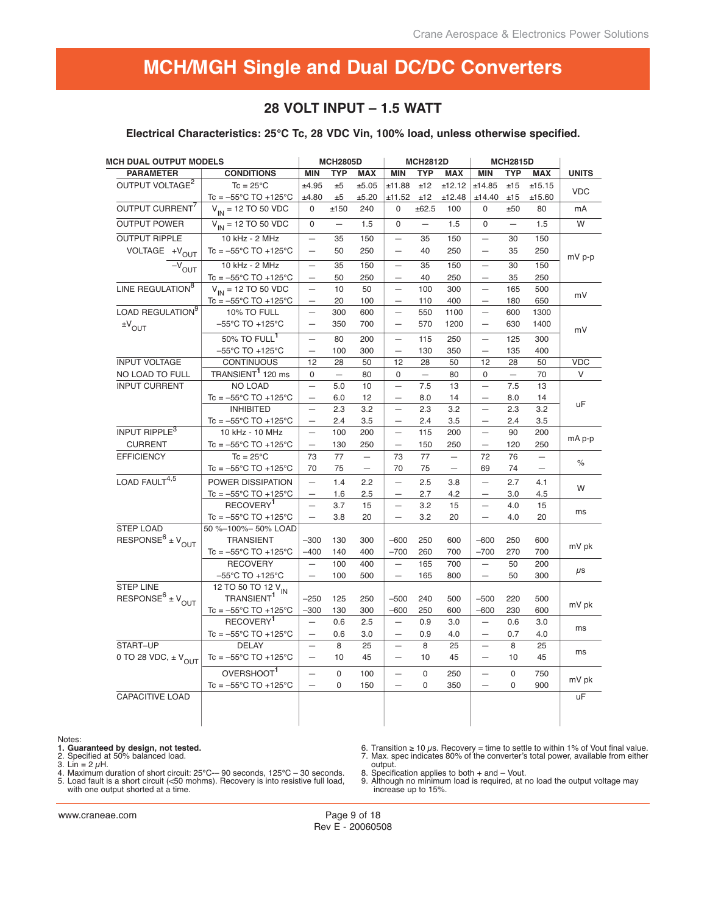## **28 VOLT INPUT – 1.5 WATT**

**Electrical Characteristics: 25°C Tc, 28 VDC Vin, 100% load, unless otherwise specified.**

| <b>MCH DUAL OUTPUT MODELS</b>            |                                           |                          | <b>MCH2805D</b>          |                          |                          | <b>MCH2812D</b>          |                          |                          | <b>MCH2815D</b>   |                          |              |
|------------------------------------------|-------------------------------------------|--------------------------|--------------------------|--------------------------|--------------------------|--------------------------|--------------------------|--------------------------|-------------------|--------------------------|--------------|
| <b>PARAMETER</b>                         | <b>CONDITIONS</b>                         | <b>MIN</b>               | <b>TYP</b>               | <b>MAX</b>               | <b>MIN</b>               | <b>TYP</b>               | <b>MAX</b>               | <b>MIN</b>               | <b>TYP</b>        | <b>MAX</b>               | <b>UNITS</b> |
| OUTPUT VOLTAGE <sup>2</sup>              | $Tc = 25^{\circ}C$                        | ±4.95                    | ±5                       | ±5.05                    | ±11.88                   | ±12                      | ±12.12                   | ±14.85                   | ±15               | ±15.15                   | <b>VDC</b>   |
|                                          | $Tc = -55^{\circ}C$ TO +125 $^{\circ}C$   | ±4.80                    | ±5                       | ±5.20                    | ±11.52                   | ±12                      | ±12.48                   | ±14.40                   | ±15               | ±15.60                   |              |
| OUTPUT CURRENT <sup>7</sup>              | $V_{IN}$ = 12 TO 50 VDC                   | 0                        | ±150                     | 240                      | $\Omega$                 | ±62.5                    | 100                      | 0                        | ±50               | 80                       | mA           |
| <b>OUTPUT POWER</b>                      | $V_{IN}$ = 12 TO 50 VDC                   | $\Omega$                 | $\overline{\phantom{m}}$ | 1.5                      | $\Omega$                 | $\overline{\phantom{0}}$ | 1.5                      | $\Omega$                 | $\qquad \qquad -$ | 1.5                      | W            |
| <b>OUTPUT RIPPLE</b>                     | 10 kHz - 2 MHz                            | $\qquad \qquad -$        | 35                       | 150                      | $\overline{\phantom{0}}$ | 35                       | 150                      | $\qquad \qquad -$        | 30                | 150                      |              |
| VOLTAGE +V <sub>OUT</sub>                | $Tc = -55^{\circ}C$ TO +125 $^{\circ}C$   | $\overline{\phantom{0}}$ | 50                       | 250                      | $\overline{\phantom{0}}$ | 40                       | 250                      | $\overline{\phantom{0}}$ | 35                | 250                      | mV p-p       |
| $\overline{-v}_{\text{OUT}}$             | 10 kHz - 2 MHz                            | $\equiv$                 | 35                       | 150                      | $\equiv$                 | 35                       | 150                      | $\equiv$                 | 30                | 150                      |              |
|                                          | $Tc = -55^{\circ}C$ TO +125 $^{\circ}C$   | $\qquad \qquad -$        | 50                       | 250                      | $\overline{\phantom{0}}$ | 40                       | 250                      | $\qquad \qquad -$        | 35                | 250                      |              |
| LINE REGULATION <sup>8</sup>             | $V_{IN}$ = 12 TO 50 VDC                   | $\equiv$                 | 10                       | 50                       | $\overline{\phantom{0}}$ | 100                      | 300                      | $\equiv$                 | 165               | 500                      | mV           |
|                                          | $Tc = -55^{\circ}C$ TO +125 $^{\circ}C$   |                          | 20                       | 100                      | $\equiv$                 | 110                      | 400                      |                          | 180               | 650                      |              |
| LOAD REGULATION <sup>9</sup>             | 10% TO FULL                               | $\equiv$                 | 300                      | 600                      | $\overline{\phantom{0}}$ | 550                      | 1100                     | $\overline{\phantom{0}}$ | 600               | 1300                     |              |
| $\pm V_{\text{OUT}}$                     | $-55^{\circ}$ C TO +125 $^{\circ}$ C      | $\overline{\phantom{0}}$ | 350                      | 700                      | $\overline{\phantom{0}}$ | 570                      | 1200                     | $\qquad \qquad -$        | 630               | 1400                     | mV           |
|                                          | 50% TO FULL <sup>1</sup>                  | $\overline{\phantom{0}}$ | 80                       | 200                      | $\equiv$                 | 115                      | 250                      | $\qquad \qquad -$        | 125               | 300                      |              |
|                                          | $-55^{\circ}$ C TO +125 $^{\circ}$ C      | $\overline{\phantom{0}}$ | 100                      | 300                      | $\overline{\phantom{0}}$ | 130                      | 350                      | $\overline{\phantom{0}}$ | 135               | 400                      |              |
| <b>INPUT VOLTAGE</b>                     | <b>CONTINUOUS</b>                         | 12                       | 28                       | 50                       | 12                       | 28                       | 50                       | 12                       | 28                | 50                       | <b>VDC</b>   |
| NO LOAD TO FULL                          | TRANSIENT <sup>1</sup> 120 ms             | $\mathsf 0$              | $\overline{\phantom{0}}$ | 80                       | $\mathbf 0$              | $\equiv$                 | 80                       | 0                        | $\equiv$          | 70                       | V            |
| <b>INPUT CURRENT</b>                     | <b>NO LOAD</b>                            | $\equiv$                 | 5.0                      | 10                       | $\qquad \qquad -$        | 7.5                      | 13                       | $\overline{\phantom{m}}$ | 7.5               | 13                       |              |
|                                          | Tc = $-55^{\circ}$ C TO +125 $^{\circ}$ C | $\equiv$                 | 6.0                      | 12                       | $\overline{\phantom{0}}$ | 8.0                      | 14                       | $\equiv$                 | 8.0               | 14                       |              |
|                                          | <b>INHIBITED</b>                          | $\qquad \qquad -$        | 2.3                      | 3.2                      | $\qquad \qquad -$        | 2.3                      | 3.2                      | $\overline{\phantom{0}}$ | 2.3               | 3.2                      | uF           |
|                                          | $Tc = -55^{\circ}C$ TO +125 $^{\circ}C$   | $\overline{\phantom{0}}$ | 2.4                      | 3.5                      |                          | 2.4                      | 3.5                      |                          | 2.4               | 3.5                      |              |
| INPUT RIPPLE <sup>3</sup>                | 10 kHz - 10 MHz                           | $\qquad \qquad -$        | 100                      | 200                      | $\overline{\phantom{0}}$ | 115                      | 200                      | $\overline{\phantom{m}}$ | 90                | 200                      |              |
| <b>CURRENT</b>                           | Tc = $-55^{\circ}$ C TO +125 $^{\circ}$ C | $\qquad \qquad -$        | 130                      | 250                      |                          | 150                      | 250                      | $\qquad \qquad -$        | 120               | 250                      | mA p-p       |
| <b>EFFICIENCY</b>                        | $Tc = 25^{\circ}C$                        | 73                       | 77                       | $\qquad \qquad -$        | 73                       | 77                       | $\overline{\phantom{m}}$ | 72                       | 76                | $\overline{\phantom{0}}$ |              |
|                                          | $Tc = -55^{\circ}C$ TO +125 $^{\circ}C$   | 70                       | 75                       | $\overline{\phantom{m}}$ | 70                       | 75                       | $\overline{\phantom{m}}$ | 69                       | 74                | $\overline{\phantom{m}}$ | $\%$         |
| LOAD FAULT $^{4,5}$                      | POWER DISSIPATION                         | $\equiv$                 | 1.4                      | 2.2                      | $\overline{\phantom{0}}$ | 2.5                      | 3.8                      | $\equiv$                 | 2.7               | 4.1                      |              |
|                                          | $Tc = -55^{\circ}C$ TO +125 $^{\circ}C$   | $\equiv$                 | 1.6                      | 2.5                      | $\overline{\phantom{0}}$ | 2.7                      | 4.2                      |                          | 3.0               | 4.5                      | W            |
|                                          | RECOVERY <sup>1</sup>                     | $\equiv$                 | 3.7                      | 15                       |                          | 3.2                      | 15                       | $\overline{\phantom{0}}$ | 4.0               | 15                       |              |
|                                          | Tc = $-55^{\circ}$ C TO +125 $^{\circ}$ C | $\overline{\phantom{0}}$ | 3.8                      | 20                       | $\overline{\phantom{0}}$ | 3.2                      | 20                       | $\qquad \qquad -$        | 4.0               | 20                       | ms           |
| <b>STEP LOAD</b>                         | 50 %-100%- 50% LOAD                       |                          |                          |                          |                          |                          |                          |                          |                   |                          |              |
| RESPONSE <sup>6</sup> ± $V_{\text{OUT}}$ | <b>TRANSIENT</b>                          | $-300$                   | 130                      | 300                      | $-600$                   | 250                      | 600                      | $-600$                   | 250               | 600                      |              |
|                                          | $Tc = -55^{\circ}C$ TO +125 $^{\circ}C$   | $-400$                   | 140                      | 400                      | $-700$                   | 260                      | 700                      | $-700$                   | 270               | 700                      | mV pk        |
|                                          | <b>RECOVERY</b>                           | $\equiv$                 | 100                      | 400                      | $\equiv$                 | 165                      | 700                      | $\overline{\phantom{m}}$ | 50                | 200                      |              |
|                                          | $-55^{\circ}$ C TO +125 $^{\circ}$ C      |                          | 100                      | 500                      | $\overline{\phantom{0}}$ | 165                      | 800                      | $\qquad \qquad -$        | 50                | 300                      | $\mu$ s      |
| <b>STEP LINE</b>                         | 12 TO 50 TO 12 V <sub>IN</sub>            |                          |                          |                          |                          |                          |                          |                          |                   |                          |              |
| RESPONSE <sup>6</sup> ± $V_{OUT}$        | TRANSIENT <sup>1</sup>                    | $-250$                   | 125                      | 250                      | $-500$                   | 240                      | 500                      | $-500$                   | 220               | 500                      |              |
|                                          | $Tc = -55^{\circ}C$ TO +125 $^{\circ}C$   | $-300$                   | 130                      | 300                      | $-600$                   | 250                      | 600                      | $-600$                   | 230               | 600                      | mV pk        |
|                                          | RECOVERY <sup>1</sup>                     | $\qquad \qquad -$        | 0.6                      | 2.5                      | $\equiv$                 | 0.9                      | 3.0                      | $\overline{\phantom{m}}$ | 0.6               | 3.0                      |              |
|                                          | $Tc = -55^{\circ}C$ TO +125 $^{\circ}C$   | $\overline{\phantom{m}}$ | 0.6                      | 3.0                      | $\qquad \qquad -$        | 0.9                      | 4.0                      | $\overline{\phantom{m}}$ | 0.7               | 4.0                      | ms           |
| START-UP                                 | <b>DELAY</b>                              | $\overline{\phantom{0}}$ | 8                        | 25                       | $\overline{\phantom{0}}$ | 8                        | 25                       | $\overline{\phantom{m}}$ | 8                 | 25                       |              |
| 0 TO 28 VDC, $\pm$ V <sub>OUT</sub>      | Tc = $-55^{\circ}$ C TO +125 $^{\circ}$ C | $\qquad \qquad -$        | 10                       | 45                       | $\overline{\phantom{m}}$ | 10                       | 45                       | $\overline{\phantom{m}}$ | 10                | 45                       | ms           |
|                                          | OVERSHOOT <sup>1</sup>                    | $\equiv$                 | 0                        | 100                      | $\equiv$                 | $\pmb{0}$                | 250                      | $\equiv$                 | $\mathbf 0$       | 750                      |              |
|                                          | Tc = $-55^{\circ}$ C TO +125 $^{\circ}$ C | $\overline{\phantom{0}}$ | $\mathbf 0$              | 150                      | $\qquad \qquad -$        | 0                        | 350                      | $\qquad \qquad -$        | 0                 | 900                      | mV pk        |
| <b>CAPACITIVE LOAD</b>                   |                                           |                          |                          |                          |                          |                          |                          |                          |                   |                          | uF           |
|                                          |                                           |                          |                          |                          |                          |                          |                          |                          |                   |                          |              |
|                                          |                                           |                          |                          |                          |                          |                          |                          |                          |                   |                          |              |
|                                          |                                           |                          |                          |                          |                          |                          |                          |                          |                   |                          |              |

#### Notes:

**1. Guaranteed by design, not tested.**<br>2. Specified at 50% balanced load.<br>3. Lin = 2  $\mu$ H.<br>4. Maximum duration of short circuit: 25°C—90 seconds, 125°C – 30 seconds.<br>5. Load fault is a short circuit (<50 mohms). Recovery

6. Transition ≥ 10 μs. Recovery = time to settle to within 1% of Vout final value. 7. Max. spec indicates 80% of the converter's total power, available from either

output. 8. Specification applies to both + and – Vout. 9. Although no minimum load is required, at no load the output voltage may increase up to 15%.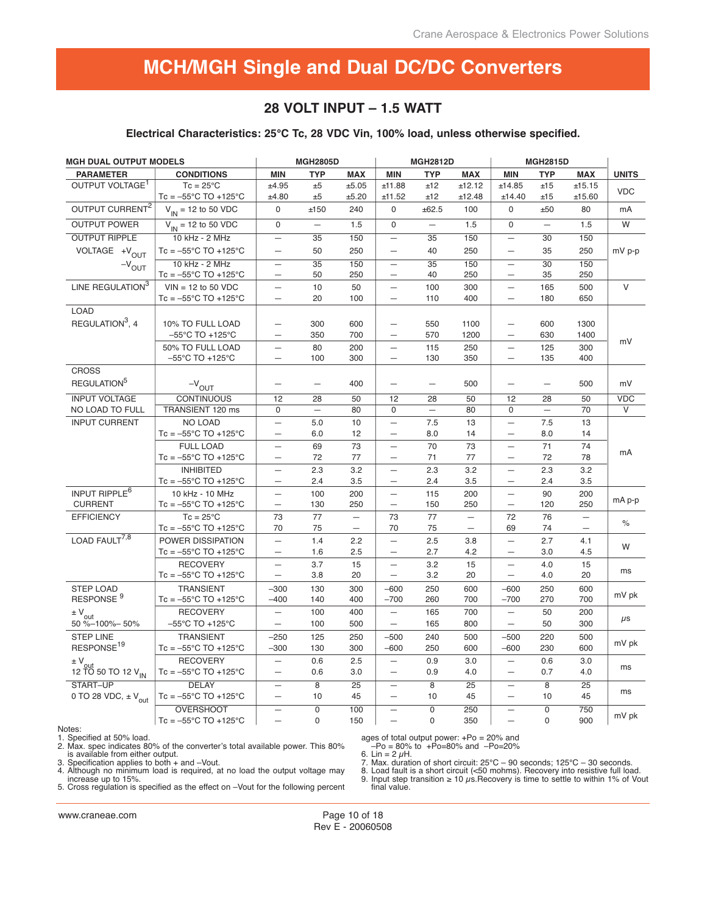## **28 VOLT INPUT – 1.5 WATT**

#### **Electrical Characteristics: 25°C Tc, 28 VDC Vin, 100% load, unless otherwise specified.**

| <b>MGH DUAL OUTPUT MODELS</b>       |                                         |                          | <b>MGH2805D</b><br><b>MGH2812D</b><br><b>MGH2815D</b> |                          |                          |                          |                   |                          |                          |                          |               |
|-------------------------------------|-----------------------------------------|--------------------------|-------------------------------------------------------|--------------------------|--------------------------|--------------------------|-------------------|--------------------------|--------------------------|--------------------------|---------------|
| <b>PARAMETER</b>                    | <b>CONDITIONS</b>                       | <b>MIN</b>               | <b>TYP</b>                                            | <b>MAX</b>               | <b>MIN</b>               | <b>TYP</b>               | <b>MAX</b>        | <b>MIN</b>               | <b>TYP</b>               | <b>MAX</b>               | <b>UNITS</b>  |
| OUTPUT VOLTAGE <sup>1</sup>         | $Tc = 25^{\circ}C$                      | ±4.95                    | ±5                                                    | ±5.05                    | ±11.88                   | ±12                      | ±12.12            | ±14.85                   | ±15                      | ±15.15                   | <b>VDC</b>    |
|                                     | $Tc = -55^{\circ}C$ TO +125 $^{\circ}C$ | ±4.80                    | ±5                                                    | ±5.20                    | ±11.52                   | ±12                      | ±12.48            | ±14.40                   | ±15                      | ±15.60                   |               |
| OUTPUT CURRENT <sup>2</sup>         | $V_{IN}$ = 12 to 50 VDC                 | $\Omega$                 | ±150                                                  | 240                      | $\mathbf 0$              | ±62.5                    | 100               | $\Omega$                 | ±50                      | 80                       | mA            |
| <b>OUTPUT POWER</b>                 | $V_{IN}$ = 12 to 50 VDC                 | $\Omega$                 |                                                       | 1.5                      | $\mathbf 0$              | $\overline{\phantom{0}}$ | 1.5               | $\Omega$                 | $\overline{\phantom{0}}$ | 1.5                      | W             |
| <b>OUTPUT RIPPLE</b>                | 10 kHz - 2 MHz                          | $\qquad \qquad -$        | 35                                                    | 150                      | $\overline{\phantom{0}}$ | $\overline{35}$          | 150               | $\qquad \qquad -$        | 30                       | 150                      |               |
| VOLTAGE +V <sub>OUT</sub>           | $Tc = -55^{\circ}C$ TO $+125^{\circ}C$  | $\overline{\phantom{0}}$ | 50                                                    | 250                      | $\overline{\phantom{0}}$ | 40                       | 250               | $\overline{\phantom{0}}$ | 35                       | 250                      | $mV$ p-p      |
| $-V_{OUT}$                          | 10 kHz - 2 MHz                          | $\qquad \qquad -$        | $\overline{35}$                                       | 150                      | $\overline{\phantom{m}}$ | $\overline{35}$          | 150               | $\overline{\phantom{m}}$ | 30                       | 150                      |               |
|                                     | $Tc = -55^{\circ}C$ TO +125 $^{\circ}C$ | $\overline{\phantom{0}}$ | 50                                                    | 250                      | $\overline{\phantom{m}}$ | 40                       | 250               | $\overline{\phantom{0}}$ | 35                       | 250                      |               |
| LINE REGULATION <sup>3</sup>        | $VIN = 12$ to 50 VDC                    |                          | 10                                                    | 50                       | $\overline{\phantom{0}}$ | 100                      | 300               | $\qquad \qquad -$        | 165                      | 500                      | $\vee$        |
|                                     | $Tc = -55^{\circ}C$ TO +125 $^{\circ}C$ | $\equiv$                 | 20                                                    | 100                      | $\qquad \qquad -$        | 110                      | 400               | $\overline{\phantom{m}}$ | 180                      | 650                      |               |
| <b>LOAD</b>                         |                                         |                          |                                                       |                          |                          |                          |                   |                          |                          |                          |               |
| REGULATION <sup>3</sup> , 4         | 10% TO FULL LOAD                        | $\overline{\phantom{0}}$ | 300                                                   | 600                      | $\overline{\phantom{0}}$ | 550                      | 1100              |                          | 600                      | 1300                     |               |
|                                     | $-55^{\circ}$ C TO +125 $^{\circ}$ C    | $\overline{\phantom{0}}$ | 350                                                   | 700                      | $\overline{\phantom{0}}$ | 570                      | 1200              | $\equiv$                 | 630                      | 1400                     |               |
|                                     | 50% TO FULL LOAD                        | $\overline{\phantom{0}}$ | 80                                                    | 200                      | $\overline{\phantom{0}}$ | 115                      | 250               |                          | 125                      | 300                      | mV            |
|                                     | $-55^{\circ}$ C TO +125 $^{\circ}$ C    | $\overline{\phantom{0}}$ | 100                                                   | 300                      | $\qquad \qquad -$        | 130                      | 350               | $\overline{\phantom{0}}$ | 135                      | 400                      |               |
| <b>CROSS</b>                        |                                         |                          |                                                       |                          |                          |                          |                   |                          |                          |                          |               |
| REGULATION <sup>5</sup>             | $-V_{OUT}$                              | $\overline{\phantom{0}}$ | $\overline{\phantom{0}}$                              | 400                      | $\qquad \qquad -$        |                          | 500               | $\equiv$                 | $\overline{\phantom{0}}$ | 500                      | mV            |
| <b>INPUT VOLTAGE</b>                | <b>CONTINUOUS</b>                       | 12                       | 28                                                    | 50                       | 12                       | 28                       | 50                | 12                       | 28                       | 50                       | <b>VDC</b>    |
| NO LOAD TO FULL                     | TRANSIENT 120 ms                        | $\Omega$                 | $\overline{\phantom{0}}$                              | 80                       | $\mathbf 0$              | $\overline{\phantom{0}}$ | 80                | $\Omega$                 | $\equiv$                 | 70                       | V             |
| <b>INPUT CURRENT</b>                | <b>NO LOAD</b>                          |                          | 5.0                                                   | 10                       | $\overline{\phantom{0}}$ | 7.5                      | 13                | $\overline{\phantom{0}}$ | 7.5                      | 13                       |               |
|                                     | $Tc = -55^{\circ}C$ TO +125 $^{\circ}C$ | $\overline{\phantom{0}}$ | 6.0                                                   | 12                       | $\overline{\phantom{0}}$ | 8.0                      | 14                | $\overline{\phantom{0}}$ | 8.0                      | 14                       |               |
|                                     | <b>FULL LOAD</b>                        | $\overline{\phantom{0}}$ | 69                                                    | 73                       | $\equiv$                 | 70                       | 73                | $\overline{\phantom{0}}$ | 71                       | 74                       |               |
|                                     | $Tc = -55^{\circ}C$ TO +125 $^{\circ}C$ | $\overline{\phantom{0}}$ | 72                                                    | 77                       | $\qquad \qquad -$        | 71                       | 77                | $\equiv$                 | 72                       | 78                       | mA            |
|                                     | <b>INHIBITED</b>                        | $\overline{\phantom{0}}$ | 2.3                                                   | 3.2                      | $\overline{\phantom{0}}$ | 2.3                      | 3.2               | $\overline{\phantom{0}}$ | 2.3                      | 3.2                      |               |
|                                     | $Tc = -55^{\circ}C$ TO +125 $^{\circ}C$ | $\overline{\phantom{0}}$ | 2.4                                                   | 3.5                      | $\overline{\phantom{0}}$ | 2.4                      | 3.5               |                          | 2.4                      | 3.5                      |               |
| INPUT RIPPLE <sup>6</sup>           | 10 kHz - 10 MHz                         | $\equiv$                 | 100                                                   | 200                      | $\qquad \qquad -$        | 115                      | 200               | $\equiv$                 | 90                       | 200                      |               |
| <b>CURRENT</b>                      | $Tc = -55^{\circ}C$ TO +125 $^{\circ}C$ | $\overline{\phantom{0}}$ | 130                                                   | 250                      | $\overline{\phantom{m}}$ | 150                      | 250               | $\overline{\phantom{m}}$ | 120                      | 250                      | mA p-p        |
| <b>EFFICIENCY</b>                   | $Tc = 25^{\circ}C$                      | 73                       | 77                                                    | $\overline{\phantom{0}}$ | 73                       | 77                       | $\qquad \qquad -$ | 72                       | 76                       | $\overline{\phantom{0}}$ |               |
|                                     | $Tc = -55^{\circ}C$ TO +125 $^{\circ}C$ | 70                       | 75                                                    | $\overline{\phantom{m}}$ | 70                       | 75                       | $\qquad \qquad -$ | 69                       | 74                       | $\qquad \qquad -$        | $\frac{6}{6}$ |
| LOAD FAULT <sup>7,8</sup>           | POWER DISSIPATION                       | $\overline{\phantom{0}}$ | 1.4                                                   | 2.2                      | $\overline{\phantom{0}}$ | 2.5                      | 3.8               | $\equiv$                 | 2.7                      | 4.1                      |               |
|                                     | $Tc = -55^{\circ}C$ TO +125 $^{\circ}C$ | $\overline{\phantom{0}}$ | 1.6                                                   | 2.5                      | $\qquad \qquad -$        | 2.7                      | 4.2               | $\qquad \qquad -$        | 3.0                      | 4.5                      | W             |
|                                     | <b>RECOVERY</b>                         | $\equiv$                 | 3.7                                                   | 15                       | $\overline{\phantom{0}}$ | 3.2                      | 15                | $\overline{\phantom{0}}$ | 4.0                      | 15                       |               |
|                                     | $Tc = -55^{\circ}C$ TO +125 $^{\circ}C$ | $\equiv$                 | 3.8                                                   | 20                       | $\equiv$                 | 3.2                      | 20                | $\equiv$                 | 4.0                      | 20                       | ms            |
| STEP LOAD                           | <b>TRANSIENT</b>                        | $-300$                   | 130                                                   | 300                      | $-600$                   | 250                      | 600               | $-600$                   | 250                      | 600                      |               |
| RESPONSE <sup>9</sup>               | $Tc = -55^{\circ}C$ TO +125 $^{\circ}C$ | $-400$                   | 140                                                   | 400                      | $-700$                   | 260                      | 700               | $-700$                   | 270                      | 700                      | mV pk         |
| $\pm V_{\text{out}}$                | <b>RECOVERY</b>                         | $\overline{\phantom{0}}$ | 100                                                   | 400                      | $\overline{\phantom{m}}$ | 165                      | 700               | $\qquad \qquad -$        | 50                       | 200                      |               |
| 50 %-100%-50%                       | $-55^{\circ}$ C TO +125 $^{\circ}$ C    | $\overline{\phantom{0}}$ | 100                                                   | 500                      | $\qquad \qquad -$        | 165                      | 800               | $\overline{\phantom{m}}$ | 50                       | 300                      | $\mu$ s       |
| <b>STEP LINE</b>                    | <b>TRANSIENT</b>                        | $-250$                   | 125                                                   | 250                      | $-500$                   | 240                      | 500               | $-500$                   | 220                      | 500                      |               |
| RESPONSE <sup>19</sup>              | $Tc = -55^{\circ}C$ TO +125 $^{\circ}C$ | $-300$                   | 130                                                   | 300                      | $-600$                   | 250                      | 600               | $-600$                   | 230                      | 600                      | mV pk         |
| $\pm V_{\text{out}}$                | <b>RECOVERY</b>                         | $\overline{\phantom{0}}$ | 0.6                                                   | 2.5                      | $\overline{\phantom{0}}$ | 0.9                      | 3.0               | $\overline{\phantom{m}}$ | 0.6                      | 3.0                      |               |
| 12 TO 50 TO 12 V <sub>IN</sub>      | $Tc = -55^{\circ}C$ TO +125 $^{\circ}C$ | $\overline{\phantom{0}}$ | 0.6                                                   | 3.0                      |                          | 0.9                      | 4.0               | $\overline{\phantom{0}}$ | 0.7                      | 4.0                      | ms            |
| START-UP                            | <b>DELAY</b>                            | $\qquad \qquad -$        | $\overline{8}$                                        | $\overline{25}$          | $\overline{\phantom{m}}$ | $\overline{8}$           | 25                | $\overline{\phantom{m}}$ | 8                        | 25                       |               |
| 0 TO 28 VDC, $\pm$ V <sub>out</sub> | $Tc = -55^{\circ}C$ TO +125 $^{\circ}C$ | $\overline{\phantom{0}}$ | 10                                                    | 45                       | $\equiv$                 | 10                       | 45                |                          | 10                       | 45                       | ms            |
|                                     | <b>OVERSHOOT</b>                        | $\overline{\phantom{0}}$ | $\overline{0}$                                        | 100                      | $\equiv$                 | $\overline{0}$           | 250               |                          | $\overline{0}$           | 750                      |               |
|                                     | $Tc = -55^{\circ}C$ TO +125 $^{\circ}C$ |                          | $\Omega$                                              | 150                      |                          | $\Omega$                 | 350               | $\equiv$                 | $\Omega$                 | 900                      | mV pk         |

Notes:

1. Specified at 50% load. 2. Max. spec indicates 80% of the converter's total available power. This 80%

is available from either output. 3. Specification applies to both + and –Vout. 4. Although no minimum load is required, at no load the output voltage may increase up to 15%.

5. Cross regulation is specified as the effect on –Vout for the following percent

ages of total output power: +Po = 20% and –Po = 80% to +Po=80% and –Po=20%

6. Lin = 2 μH. 7. Max. duration of short circuit: 25°C – 90 seconds; 125°C – 30 seconds.

8. Load fault is a short circuit (<50 mohms). Recovery into resistive full load. 9. Input step transition ≥ 10 μs.Recovery is time to settle to within 1% of Vout final value.

www.craneae.com

Page 10 of 18 Rev E - 20060508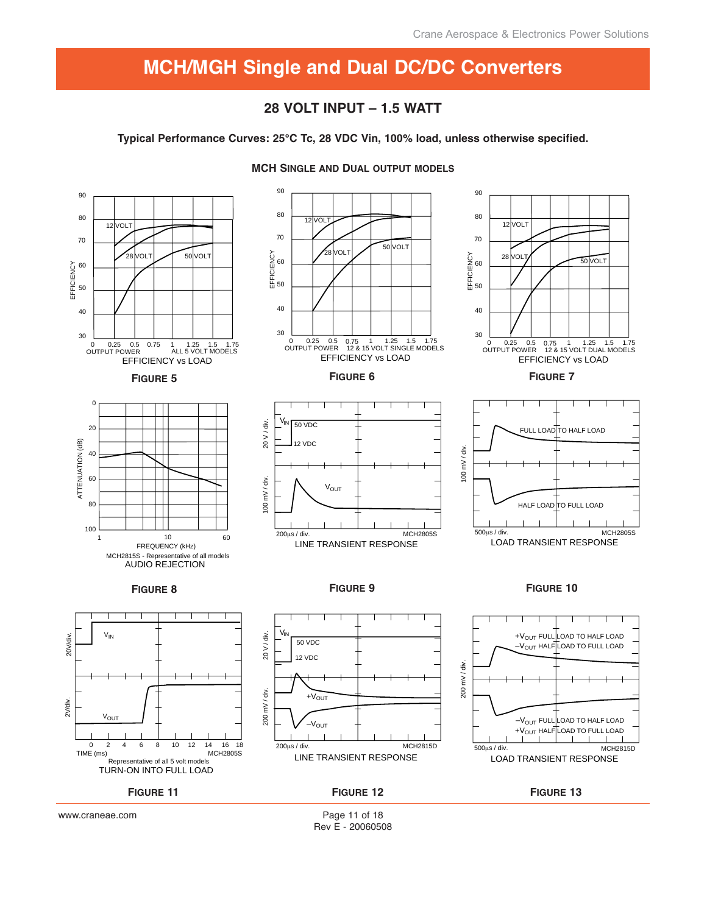## **28 VOLT INPUT – 1.5 WATT**

**Typical Performance Curves: 25°C Tc, 28 VDC Vin, 100% load, unless otherwise specified.**



**MCH SINGLE AND DUAL OUTPUT MODELS**

Page 11 of 18 Rev E - 20060508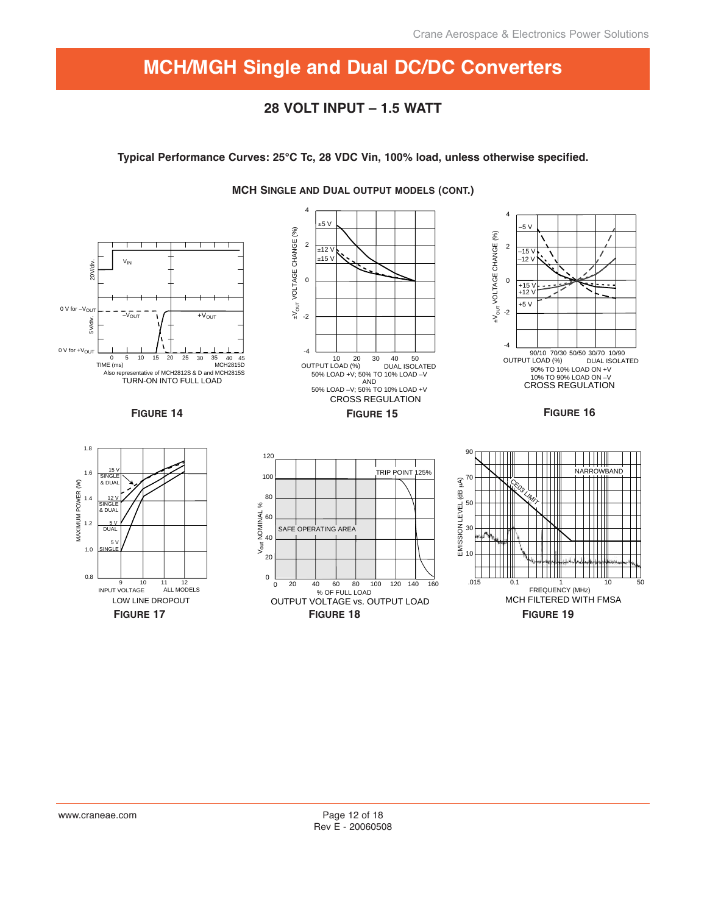## **28 VOLT INPUT – 1.5 WATT**

**Typical Performance Curves: 25°C Tc, 28 VDC Vin, 100% load, unless otherwise specified.**



**MCH SINGLE AND DUAL OUTPUT MODELS (CONT.)**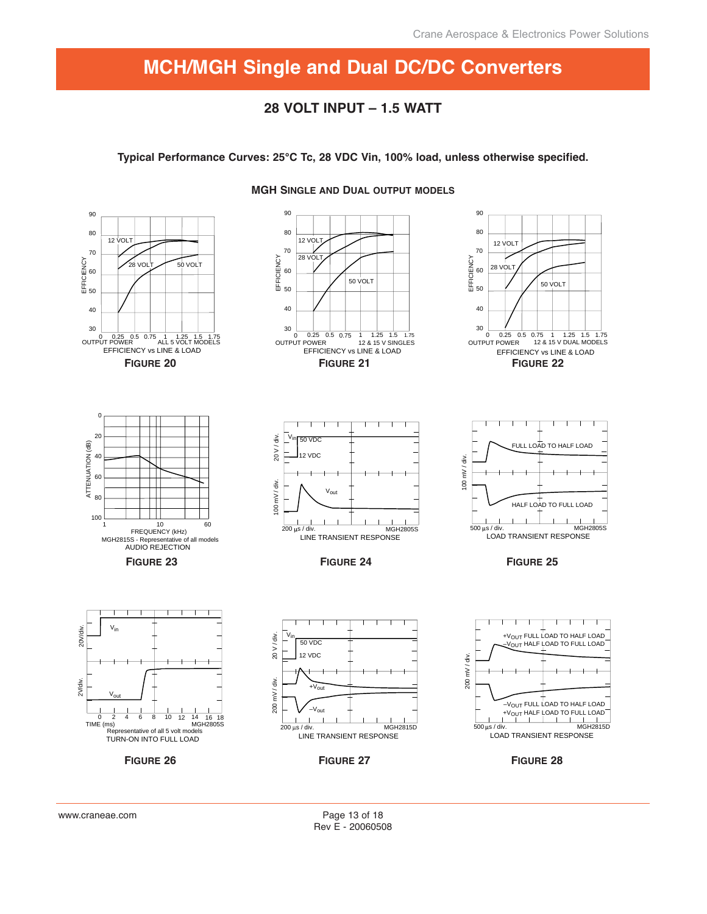## **28 VOLT INPUT – 1.5 WATT**

**Typical Performance Curves: 25°C Tc, 28 VDC Vin, 100% load, unless otherwise specified.**



### **MGH SINGLE AND DUAL OUTPUT MODELS**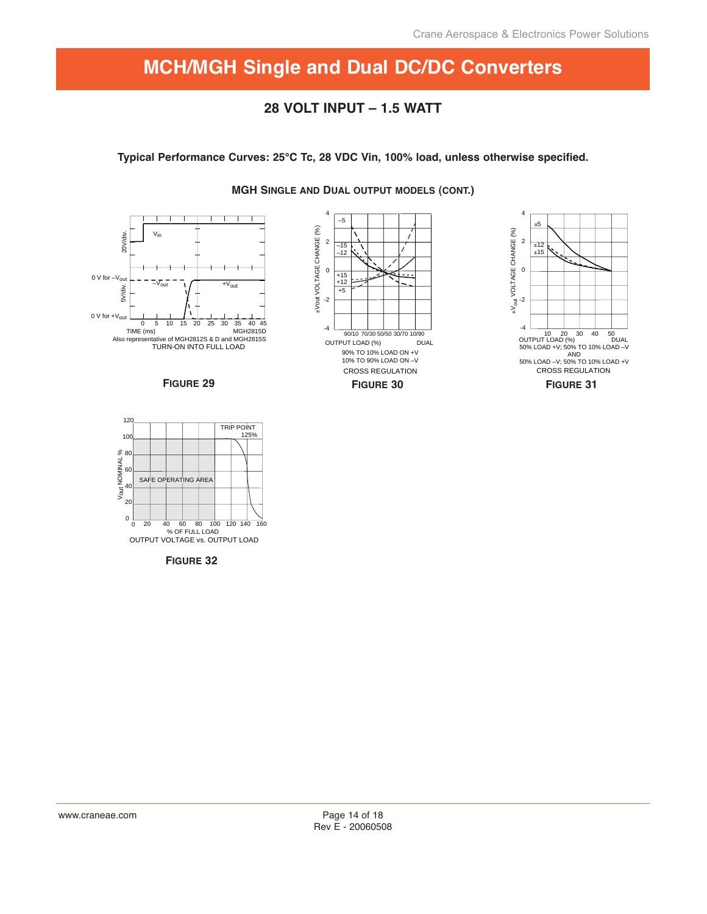# **28 VOLT INPUT – 1.5 WATT**

**Typical Performance Curves: 25°C Tc, 28 VDC Vin, 100% load, unless otherwise specified.**









SAFE OPERATING AREA  $120$ 100 80 60 40 20  $0<sub>0</sub>$ Vout NOMINAL % % OF FULL LOAD 0 20 40 60 80 100 120 140 160 OUTPUT VOLTAGE vs. OUTPUT LOAD TRIP POINT 125%

**FIGURE 32**

**MGH SINGLE AND DUAL OUTPUT MODELS (CONT.)**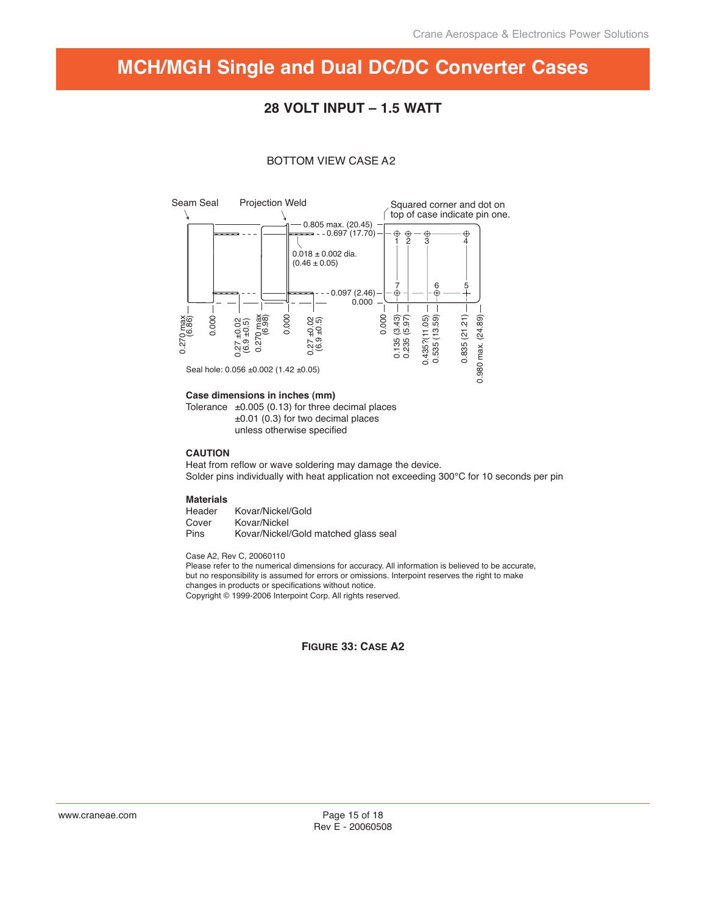## **28 VOLT INPUT – 1.5 WATT**

#### BOTTOM VIEW CASE A2



#### **Case dimensions in inches (mm)**

Tolerance  $\pm 0.005$  (0.13) for three decimal places ±0.01 (0.3) for two decimal places unless otherwise specified

#### **CAUTION**

Heat from reflow or wave soldering may damage the device. Solder pins individually with heat application not exceeding 300°C for 10 seconds per pin

#### **Materials**

| Header | Kovar/Nickel/Gold                    |
|--------|--------------------------------------|
| Cover  | Kovar/Nickel                         |
| Pins   | Kovar/Nickel/Gold matched glass seal |

Case A2, Rev C, 20060110

Please refer to the numerical dimensions for accuracy. All information is believed to be accurate, but no responsibility is assumed for errors or omissions. Interpoint reserves the right to make changes in products or specifications without notice. Copyright © 1999-2006 Interpoint Corp. All rights reserved.

### **FIGURE 33: CASE A2**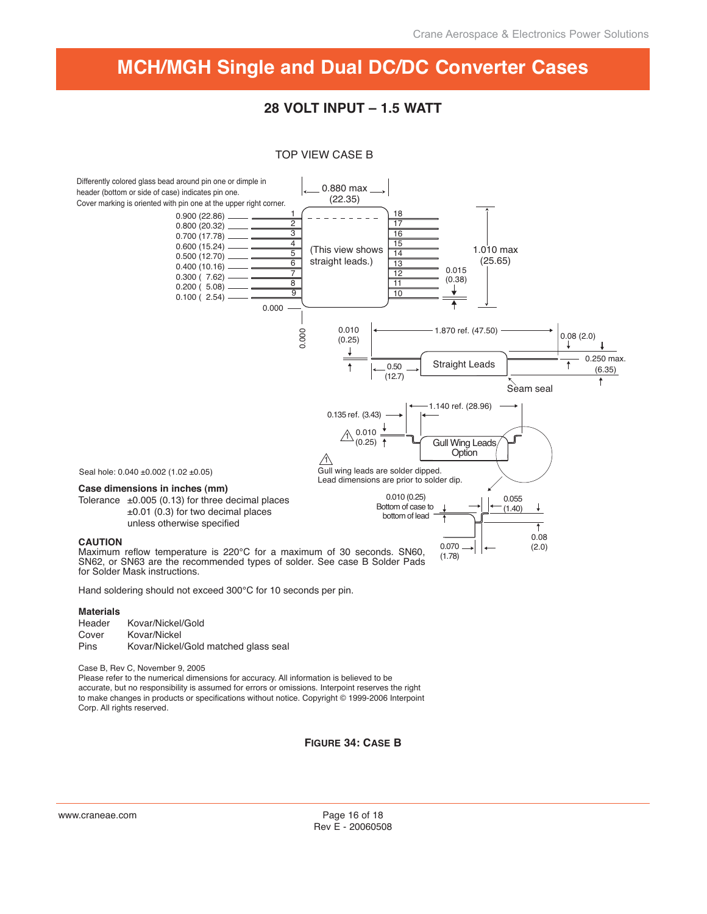# **28 VOLT INPUT – 1.5 WATT**

#### TOP VIEW CASE B



Hand soldering should not exceed 300°C for 10 seconds per pin.

#### **Materials**

| Header      | Kovar/Nickel/Gold                    |
|-------------|--------------------------------------|
| Cover       | Kovar/Nickel                         |
| <b>Pins</b> | Kovar/Nickel/Gold matched glass seal |

Case B, Rev C, November 9, 2005

Please refer to the numerical dimensions for accuracy. All information is believed to be accurate, but no responsibility is assumed for errors or omissions. Interpoint reserves the right to make changes in products or specifications without notice. Copyright © 1999-2006 Interpoint Corp. All rights reserved.

**FIGURE 34: CASE B**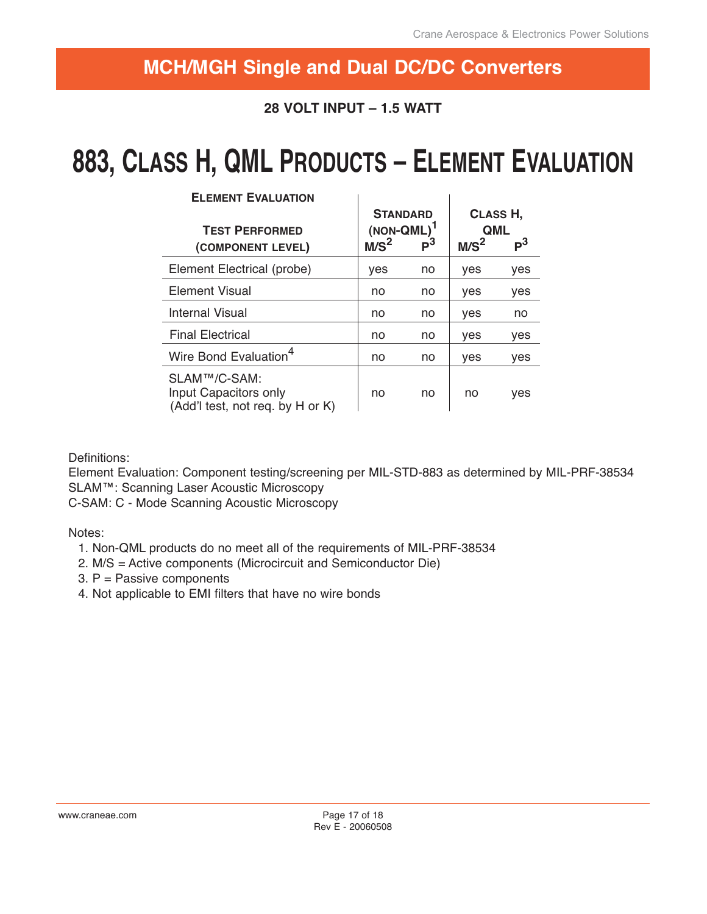# **28 VOLT INPUT – 1.5 WATT**

# **883, CLASS H, QML PRODUCTS – ELEMENT EVALUATION**

| <b>ELEMENT EVALUATION</b>                                                 |                                                      |       |                                                              |     |
|---------------------------------------------------------------------------|------------------------------------------------------|-------|--------------------------------------------------------------|-----|
| <b>TEST PERFORMED</b><br>(COMPONENT LEVEL)                                | <b>STANDARD</b><br>$(NON-QML)^T$<br>M/S <sup>2</sup> | $P^3$ | CLASS H,<br><b>QML</b><br>$\mathsf{P}^3$<br>M/S <sup>2</sup> |     |
| Element Electrical (probe)                                                | yes                                                  | no    | yes                                                          | yes |
| Element Visual                                                            | no                                                   | no    | yes                                                          | yes |
| <b>Internal Visual</b>                                                    | no                                                   | no    | yes                                                          | no  |
| <b>Final Electrical</b>                                                   | no                                                   | no    | yes                                                          | yes |
| Wire Bond Evaluation <sup>4</sup>                                         | no                                                   | no    | yes                                                          | yes |
| SLAM™/C-SAM:<br>Input Capacitors only<br>(Add'I test, not req. by H or K) | no                                                   | no    | no                                                           | yes |

**ELEMENT EVALUATION**

Definitions:

Element Evaluation: Component testing/screening per MIL-STD-883 as determined by MIL-PRF-38534 SLAM™: Scanning Laser Acoustic Microscopy

C-SAM: C - Mode Scanning Acoustic Microscopy

Notes:

- 1. Non-QML products do no meet all of the requirements of MIL-PRF-38534
- 2. M/S = Active components (Microcircuit and Semiconductor Die)
- 3. P = Passive components
- 4. Not applicable to EMI filters that have no wire bonds